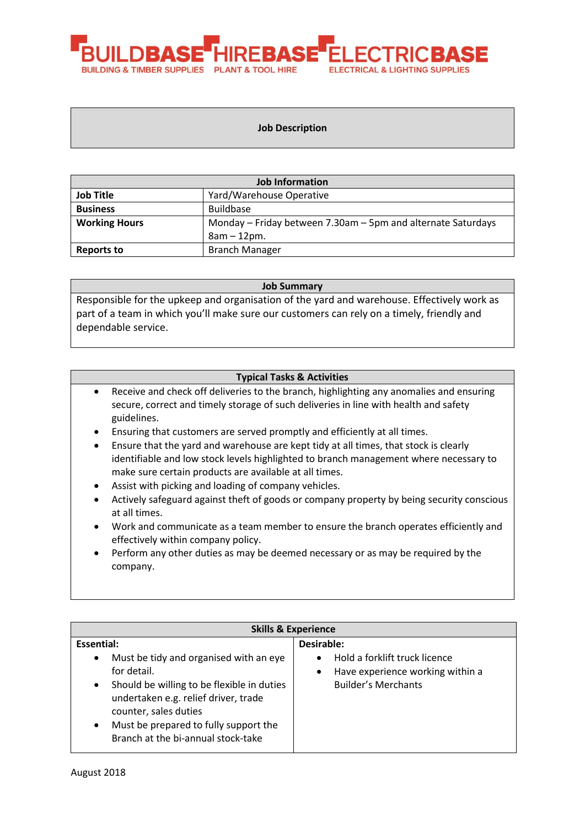

### **Job Description**

| <b>Job Information</b> |                                                              |
|------------------------|--------------------------------------------------------------|
| <b>Job Title</b>       | Yard/Warehouse Operative                                     |
| <b>Business</b>        | <b>Buildbase</b>                                             |
| <b>Working Hours</b>   | Monday – Friday between 7.30am – 5pm and alternate Saturdays |
|                        | $8am - 12pm.$                                                |
| Reports to             | <b>Branch Manager</b>                                        |

#### **Job Summary**

Responsible for the upkeep and organisation of the yard and warehouse. Effectively work as part of a team in which you'll make sure our customers can rely on a timely, friendly and dependable service.

## **Typical Tasks & Activities**

- Receive and check off deliveries to the branch, highlighting any anomalies and ensuring secure, correct and timely storage of such deliveries in line with health and safety guidelines.
- Ensuring that customers are served promptly and efficiently at all times.
- Ensure that the yard and warehouse are kept tidy at all times, that stock is clearly identifiable and low stock levels highlighted to branch management where necessary to make sure certain products are available at all times.
- Assist with picking and loading of company vehicles.
- Actively safeguard against theft of goods or company property by being security conscious at all times.
- Work and communicate as a team member to ensure the branch operates efficiently and effectively within company policy.
- Perform any other duties as may be deemed necessary or as may be required by the company.

| <b>Skills &amp; Experience</b>                                                                                                                                                                                                                                                                   |                                                                                                                            |  |
|--------------------------------------------------------------------------------------------------------------------------------------------------------------------------------------------------------------------------------------------------------------------------------------------------|----------------------------------------------------------------------------------------------------------------------------|--|
| Essential:<br>Must be tidy and organised with an eye<br>٠<br>for detail.<br>Should be willing to be flexible in duties<br>$\bullet$<br>undertaken e.g. relief driver, trade<br>counter, sales duties<br>Must be prepared to fully support the<br>$\bullet$<br>Branch at the bi-annual stock-take | Desirable:<br>Hold a forklift truck licence<br>Have experience working within a<br>$\bullet$<br><b>Builder's Merchants</b> |  |